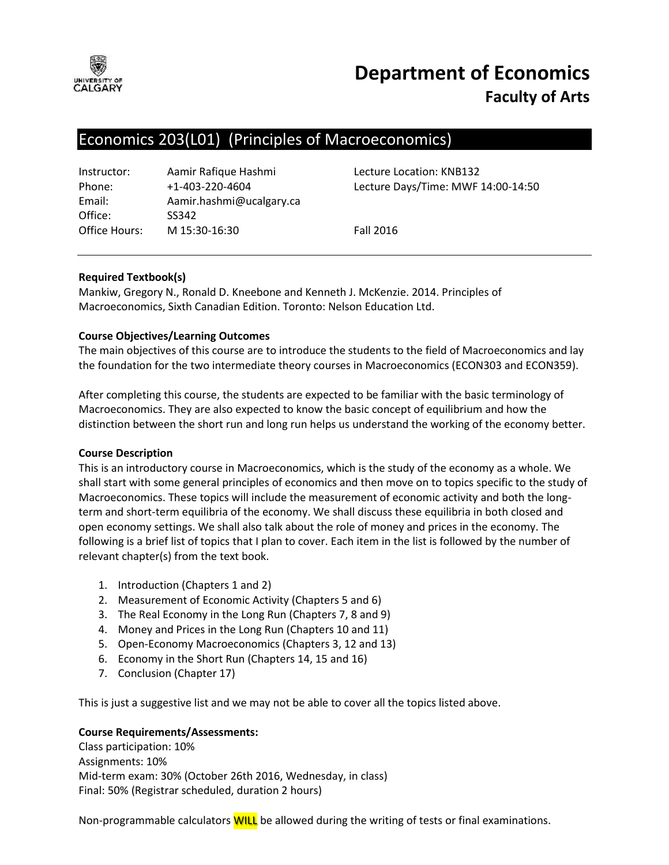

# **Department of Economics Faculty of Arts**

# Economics 203(L01) (Principles of Macroeconomics)

| Instructor:   | Aamir Rafique Hashmi     |
|---------------|--------------------------|
| Phone:        | $+1 - 403 - 220 - 4604$  |
| Email:        | Aamir.hashmi@ucalgary.ca |
| Office:       | SS342                    |
| Office Hours: | M 15:30-16:30            |

Lecture Location: KNB132 Lecture Days/Time: MWF 14:00-14:50

**Fall 2016** 

## **Required Textbook(s)**

Mankiw, Gregory N., Ronald D. Kneebone and Kenneth J. McKenzie. 2014. Principles of Macroeconomics, Sixth Canadian Edition. Toronto: Nelson Education Ltd.

## **Course Objectives/Learning Outcomes**

The main objectives of this course are to introduce the students to the field of Macroeconomics and lay the foundation for the two intermediate theory courses in Macroeconomics (ECON303 and ECON359).

After completing this course, the students are expected to be familiar with the basic terminology of Macroeconomics. They are also expected to know the basic concept of equilibrium and how the distinction between the short run and long run helps us understand the working of the economy better.

#### **Course Description**

This is an introductory course in Macroeconomics, which is the study of the economy as a whole. We shall start with some general principles of economics and then move on to topics specific to the study of Macroeconomics. These topics will include the measurement of economic activity and both the longterm and short-term equilibria of the economy. We shall discuss these equilibria in both closed and open economy settings. We shall also talk about the role of money and prices in the economy. The following is a brief list of topics that I plan to cover. Each item in the list is followed by the number of relevant chapter(s) from the text book.

- 1. Introduction (Chapters 1 and 2)
- 2. Measurement of Economic Activity (Chapters 5 and 6)
- 3. The Real Economy in the Long Run (Chapters 7, 8 and 9)
- 4. Money and Prices in the Long Run (Chapters 10 and 11)
- 5. Open-Economy Macroeconomics (Chapters 3, 12 and 13)
- 6. Economy in the Short Run (Chapters 14, 15 and 16)
- 7. Conclusion (Chapter 17)

This is just a suggestive list and we may not be able to cover all the topics listed above.

#### **Course Requirements/Assessments:**

Class participation: 10% Assignments: 10% Mid-term exam: 30% (October 26th 2016, Wednesday, in class) Final: 50% (Registrar scheduled, duration 2 hours)

Non-programmable calculators **WILL** be allowed during the writing of tests or final examinations.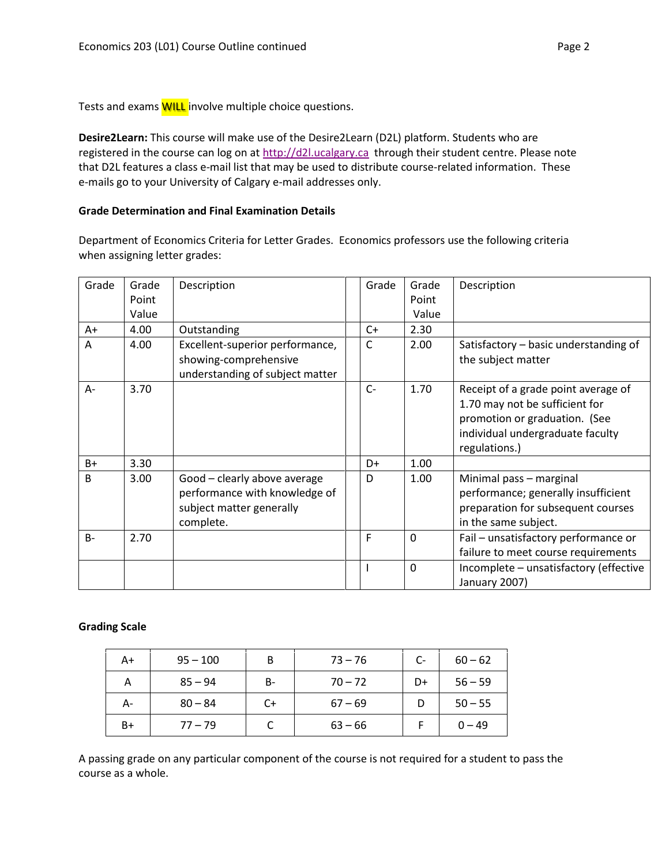Tests and exams **WILL** involve multiple choice questions.

**Desire2Learn:** This course will make use of the Desire2Learn (D2L) platform. Students who are registered in the course can log on at [http://d2l.ucalgary.ca](http://d2l.ucalgary.ca/) through their student centre. Please note that D2L features a class e-mail list that may be used to distribute course-related information. These e-mails go to your University of Calgary e-mail addresses only.

#### **Grade Determination and Final Examination Details**

Department of Economics Criteria for Letter Grades. Economics professors use the following criteria when assigning letter grades:

| Grade        | Grade | Description                                                                                            | Grade | Grade    | Description                                                                                                                                                 |
|--------------|-------|--------------------------------------------------------------------------------------------------------|-------|----------|-------------------------------------------------------------------------------------------------------------------------------------------------------------|
|              | Point |                                                                                                        |       | Point    |                                                                                                                                                             |
|              | Value |                                                                                                        |       | Value    |                                                                                                                                                             |
| A+           | 4.00  | Outstanding                                                                                            | C+    | 2.30     |                                                                                                                                                             |
| A            | 4.00  | Excellent-superior performance,<br>showing-comprehensive<br>understanding of subject matter            | C     | 2.00     | Satisfactory - basic understanding of<br>the subject matter                                                                                                 |
| A-           | 3.70  |                                                                                                        | $C -$ | 1.70     | Receipt of a grade point average of<br>1.70 may not be sufficient for<br>promotion or graduation. (See<br>individual undergraduate faculty<br>regulations.) |
| $B+$         | 3.30  |                                                                                                        | D+    | 1.00     |                                                                                                                                                             |
| <sub>B</sub> | 3.00  | Good - clearly above average<br>performance with knowledge of<br>subject matter generally<br>complete. | D     | 1.00     | Minimal pass - marginal<br>performance; generally insufficient<br>preparation for subsequent courses<br>in the same subject.                                |
| $B -$        | 2.70  |                                                                                                        | F     | $\Omega$ | Fail - unsatisfactory performance or<br>failure to meet course requirements                                                                                 |
|              |       |                                                                                                        |       | 0        | Incomplete - unsatisfactory (effective<br>January 2007)                                                                                                     |

#### **Grading Scale**

| A+   | $95 - 100$ | B  | $73 - 76$ | $C-$ | $60 - 62$ |
|------|------------|----|-----------|------|-----------|
| А    | $85 - 94$  | B- | $70 - 72$ | D+   | $56 - 59$ |
| А-   | $80 - 84$  | C+ | $67 - 69$ |      | $50 - 55$ |
| $B+$ | $77 - 79$  |    | $63 - 66$ |      | $0 - 49$  |

A passing grade on any particular component of the course is not required for a student to pass the course as a whole.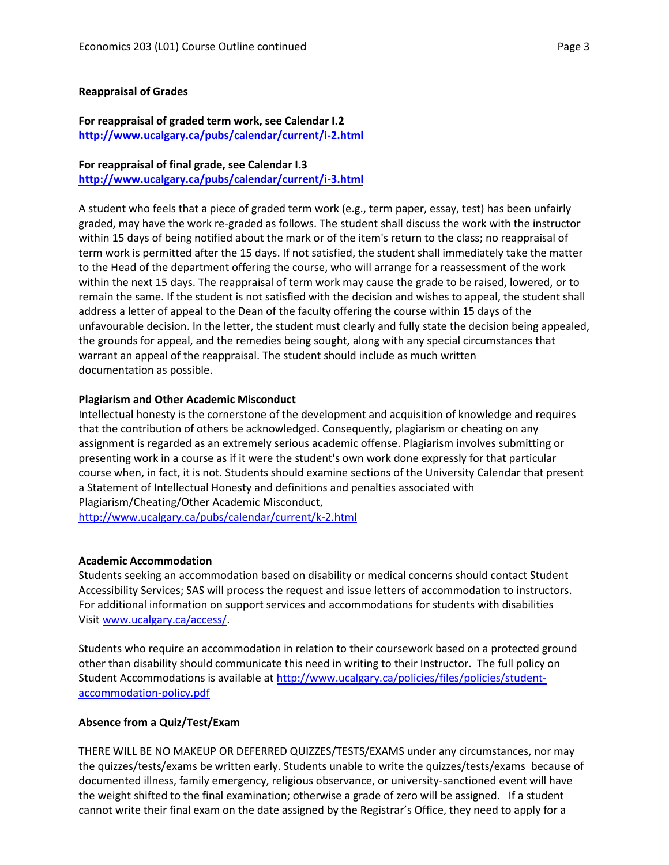#### **Reappraisal of Grades**

#### **For reappraisal of graded term work, see Calendar I.2 <http://www.ucalgary.ca/pubs/calendar/current/i-2.html>**

## **For reappraisal of final grade, see Calendar I.3**

**<http://www.ucalgary.ca/pubs/calendar/current/i-3.html>**

A student who feels that a piece of graded term work (e.g., term paper, essay, test) has been unfairly graded, may have the work re-graded as follows. The student shall discuss the work with the instructor within 15 days of being notified about the mark or of the item's return to the class; no reappraisal of term work is permitted after the 15 days. If not satisfied, the student shall immediately take the matter to the Head of the department offering the course, who will arrange for a reassessment of the work within the next 15 days. The reappraisal of term work may cause the grade to be raised, lowered, or to remain the same. If the student is not satisfied with the decision and wishes to appeal, the student shall address a letter of appeal to the Dean of the faculty offering the course within 15 days of the unfavourable decision. In the letter, the student must clearly and fully state the decision being appealed, the grounds for appeal, and the remedies being sought, along with any special circumstances that warrant an appeal of the reappraisal. The student should include as much written documentation as possible.

#### **Plagiarism and Other Academic Misconduct**

Intellectual honesty is the cornerstone of the development and acquisition of knowledge and requires that the contribution of others be acknowledged. Consequently, plagiarism or cheating on any assignment is regarded as an extremely serious academic offense. Plagiarism involves submitting or presenting work in a course as if it were the student's own work done expressly for that particular course when, in fact, it is not. Students should examine sections of the University Calendar that present a Statement of Intellectual Honesty and definitions and penalties associated with Plagiarism/Cheating/Other Academic Misconduct,

<http://www.ucalgary.ca/pubs/calendar/current/k-2.html>

#### **Academic Accommodation**

Students seeking an accommodation based on disability or medical concerns should contact Student Accessibility Services; SAS will process the request and issue letters of accommodation to instructors. For additional information on support services and accommodations for students with disabilities Visit [www.ucalgary.ca/access/.](http://www.ucalgary.ca/access/)

Students who require an accommodation in relation to their coursework based on a protected ground other than disability should communicate this need in writing to their Instructor. The full policy on Student Accommodations is available at [http://www.ucalgary.ca/policies/files/policies/student](http://www.ucalgary.ca/policies/files/policies/student-accommodation-policy.pdf)[accommodation-policy.pdf](http://www.ucalgary.ca/policies/files/policies/student-accommodation-policy.pdf)

#### **Absence from a Quiz/Test/Exam**

THERE WILL BE NO MAKEUP OR DEFERRED QUIZZES/TESTS/EXAMS under any circumstances, nor may the quizzes/tests/exams be written early. Students unable to write the quizzes/tests/exams because of documented illness, family emergency, religious observance, or university-sanctioned event will have the weight shifted to the final examination; otherwise a grade of zero will be assigned. If a student cannot write their final exam on the date assigned by the Registrar's Office, they need to apply for a